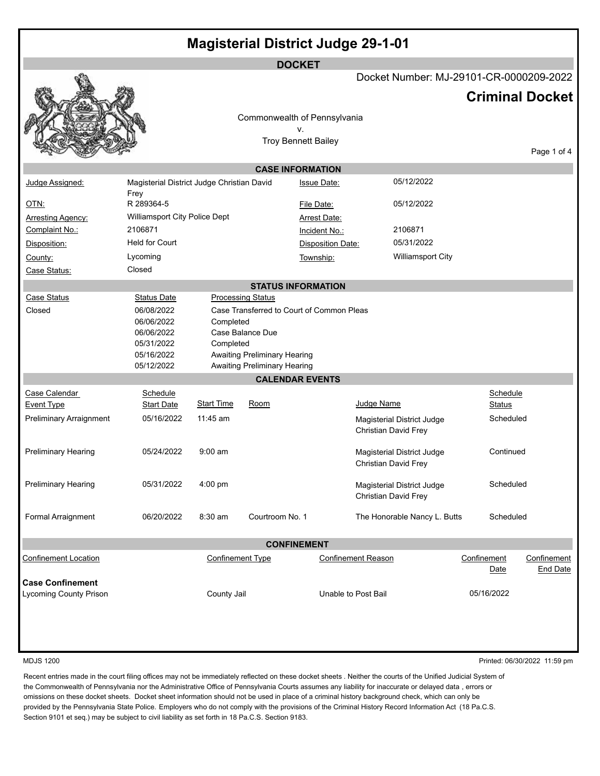|                                                                  |                                            |                                         | <b>Magisterial District Judge 29-1-01</b> |                          |                           |                              |                        |                                |
|------------------------------------------------------------------|--------------------------------------------|-----------------------------------------|-------------------------------------------|--------------------------|---------------------------|------------------------------|------------------------|--------------------------------|
|                                                                  |                                            |                                         | <b>DOCKET</b>                             |                          |                           |                              |                        |                                |
|                                                                  |                                            | Docket Number: MJ-29101-CR-0000209-2022 |                                           |                          |                           |                              |                        |                                |
|                                                                  |                                            |                                         |                                           |                          |                           |                              | <b>Criminal Docket</b> |                                |
|                                                                  |                                            |                                         | Commonwealth of Pennsylvania              |                          |                           |                              |                        |                                |
|                                                                  |                                            |                                         | ٧.                                        |                          |                           |                              |                        |                                |
|                                                                  |                                            |                                         | <b>Troy Bennett Bailey</b>                |                          |                           |                              |                        |                                |
|                                                                  |                                            |                                         |                                           |                          |                           |                              |                        | Page 1 of 4                    |
|                                                                  |                                            |                                         | <b>CASE INFORMATION</b>                   |                          |                           |                              |                        |                                |
| Judge Assigned:                                                  | Magisterial District Judge Christian David |                                         |                                           | <b>Issue Date:</b>       |                           | 05/12/2022                   |                        |                                |
| OTN:                                                             | Frey<br>R 289364-5                         |                                         |                                           | File Date:               |                           | 05/12/2022                   |                        |                                |
| Arresting Agency:                                                | Williamsport City Police Dept              |                                         |                                           | <b>Arrest Date:</b>      |                           |                              |                        |                                |
| Complaint No.:                                                   | 2106871                                    |                                         |                                           | Incident No.:            |                           | 2106871                      |                        |                                |
| Disposition:                                                     | <b>Held for Court</b>                      |                                         |                                           | <b>Disposition Date:</b> |                           | 05/31/2022                   |                        |                                |
| County:                                                          | Lycoming                                   |                                         |                                           | Township:                |                           | Williamsport City            |                        |                                |
| Case Status:                                                     | Closed                                     |                                         |                                           |                          |                           |                              |                        |                                |
|                                                                  |                                            |                                         | <b>STATUS INFORMATION</b>                 |                          |                           |                              |                        |                                |
| <b>Case Status</b>                                               | <b>Status Date</b>                         |                                         | <b>Processing Status</b>                  |                          |                           |                              |                        |                                |
| Closed                                                           | 06/08/2022                                 |                                         | Case Transferred to Court of Common Pleas |                          |                           |                              |                        |                                |
|                                                                  | 06/06/2022                                 | Completed                               |                                           |                          |                           |                              |                        |                                |
|                                                                  | 06/06/2022<br>05/31/2022                   | Completed                               | Case Balance Due                          |                          |                           |                              |                        |                                |
|                                                                  | 05/16/2022                                 |                                         | <b>Awaiting Preliminary Hearing</b>       |                          |                           |                              |                        |                                |
|                                                                  | 05/12/2022                                 |                                         | <b>Awaiting Preliminary Hearing</b>       |                          |                           |                              |                        |                                |
|                                                                  |                                            |                                         | <b>CALENDAR EVENTS</b>                    |                          |                           |                              |                        |                                |
| Case Calendar                                                    | Schedule                                   |                                         |                                           |                          |                           |                              | Schedule               |                                |
| Event Type                                                       | <b>Start Date</b>                          | <b>Start Time</b>                       | Room                                      |                          | Judge Name                |                              | <b>Status</b>          |                                |
| Preliminary Arraignment                                          | 05/16/2022                                 | $11:45$ am                              |                                           |                          | Christian David Frey      | Magisterial District Judge   | Scheduled              |                                |
| <b>Preliminary Hearing</b>                                       | 05/24/2022                                 | $9:00$ am                               |                                           |                          | Christian David Frey      | Magisterial District Judge   | Continued              |                                |
| <b>Preliminary Hearing</b>                                       | 05/31/2022                                 | 4:00 pm                                 |                                           |                          | Christian David Frey      | Magisterial District Judge   | Scheduled              |                                |
| Formal Arraignment                                               | 06/20/2022                                 | $8:30$ am                               | Courtroom No. 1                           |                          |                           | The Honorable Nancy L. Butts | Scheduled              |                                |
|                                                                  |                                            |                                         | <b>CONFINEMENT</b>                        |                          |                           |                              |                        |                                |
| <b>Confinement Location</b>                                      |                                            | <b>Confinement Type</b>                 |                                           |                          | <b>Confinement Reason</b> |                              | Confinement<br>Date    | Confinement<br><b>End Date</b> |
| <b>Case Confinement</b><br>Lycoming County Prison<br>County Jail |                                            |                                         | Unable to Post Bail                       |                          |                           | 05/16/2022                   |                        |                                |
|                                                                  |                                            |                                         |                                           |                          |                           |                              |                        |                                |

MDJS 1200 Printed: 06/30/2022 11:59 pm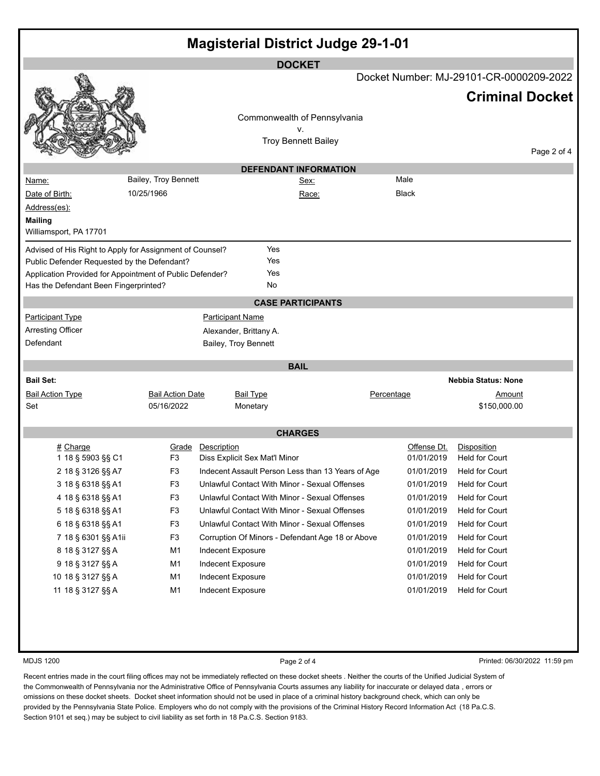| <b>Magisterial District Judge 29-1-01</b>                                                         |                         |                         |                                                   |       |              |                                                                   |             |  |
|---------------------------------------------------------------------------------------------------|-------------------------|-------------------------|---------------------------------------------------|-------|--------------|-------------------------------------------------------------------|-------------|--|
|                                                                                                   |                         |                         | <b>DOCKET</b>                                     |       |              |                                                                   |             |  |
|                                                                                                   |                         |                         |                                                   |       |              | Docket Number: MJ-29101-CR-0000209-2022<br><b>Criminal Docket</b> |             |  |
|                                                                                                   |                         |                         |                                                   |       |              |                                                                   |             |  |
|                                                                                                   |                         |                         | Commonwealth of Pennsylvania                      |       |              |                                                                   |             |  |
|                                                                                                   |                         |                         | ٧.<br><b>Troy Bennett Bailey</b>                  |       |              |                                                                   |             |  |
|                                                                                                   |                         |                         |                                                   |       |              |                                                                   | Page 2 of 4 |  |
|                                                                                                   |                         |                         | <b>DEFENDANT INFORMATION</b>                      |       |              |                                                                   |             |  |
| Name:                                                                                             | Bailey, Troy Bennett    |                         | <u>Sex:</u>                                       |       | Male         |                                                                   |             |  |
| Date of Birth:                                                                                    | 10/25/1966              |                         |                                                   | Race: | <b>Black</b> |                                                                   |             |  |
| Address(es):                                                                                      |                         |                         |                                                   |       |              |                                                                   |             |  |
| <b>Mailing</b>                                                                                    |                         |                         |                                                   |       |              |                                                                   |             |  |
| Williamsport, PA 17701                                                                            |                         |                         |                                                   |       |              |                                                                   |             |  |
| Advised of His Right to Apply for Assignment of Counsel?                                          |                         |                         | Yes                                               |       |              |                                                                   |             |  |
| Public Defender Requested by the Defendant?                                                       |                         |                         | Yes                                               |       |              |                                                                   |             |  |
| Application Provided for Appointment of Public Defender?<br>Has the Defendant Been Fingerprinted? |                         |                         | Yes<br>No                                         |       |              |                                                                   |             |  |
|                                                                                                   |                         |                         |                                                   |       |              |                                                                   |             |  |
|                                                                                                   |                         |                         | <b>CASE PARTICIPANTS</b>                          |       |              |                                                                   |             |  |
| <b>Participant Type</b>                                                                           |                         | <b>Participant Name</b> |                                                   |       |              |                                                                   |             |  |
| <b>Arresting Officer</b>                                                                          |                         |                         | Alexander, Brittany A.                            |       |              |                                                                   |             |  |
| Defendant                                                                                         |                         |                         | Bailey, Troy Bennett                              |       |              |                                                                   |             |  |
|                                                                                                   |                         |                         | <b>BAIL</b>                                       |       |              |                                                                   |             |  |
| <b>Bail Set:</b>                                                                                  |                         |                         |                                                   |       |              | <b>Nebbia Status: None</b>                                        |             |  |
| <b>Bail Action Type</b>                                                                           | <b>Bail Action Date</b> |                         | <b>Bail Type</b>                                  |       | Percentage   | <u>Amount</u>                                                     |             |  |
| Set                                                                                               | 05/16/2022              |                         | Monetary                                          |       |              | \$150,000.00                                                      |             |  |
|                                                                                                   |                         |                         | <b>CHARGES</b>                                    |       |              |                                                                   |             |  |
| # Charge                                                                                          | Grade                   | Description             |                                                   |       | Offense Dt.  | Disposition                                                       |             |  |
| 1 18 § 5903 §§ C1                                                                                 | F <sub>3</sub>          |                         | Diss Explicit Sex Mat'l Minor                     |       | 01/01/2019   | <b>Held for Court</b>                                             |             |  |
| 2 18 § 3126 §§ A7                                                                                 | F <sub>3</sub>          |                         | Indecent Assault Person Less than 13 Years of Age |       | 01/01/2019   | <b>Held for Court</b>                                             |             |  |
| 3 18 § 6318 §§ A1                                                                                 | F <sub>3</sub>          |                         | Unlawful Contact With Minor - Sexual Offenses     |       | 01/01/2019   | <b>Held for Court</b>                                             |             |  |
| 4 18 § 6318 §§ A1                                                                                 | F <sub>3</sub>          |                         | Unlawful Contact With Minor - Sexual Offenses     |       | 01/01/2019   | <b>Held for Court</b>                                             |             |  |
| 5 18 § 6318 §§ A1                                                                                 | F <sub>3</sub>          |                         | Unlawful Contact With Minor - Sexual Offenses     |       | 01/01/2019   | <b>Held for Court</b>                                             |             |  |
| 6 18 § 6318 §§ A1                                                                                 | F <sub>3</sub>          |                         | Unlawful Contact With Minor - Sexual Offenses     |       | 01/01/2019   | <b>Held for Court</b>                                             |             |  |
| 7 18 § 6301 §§ A1ii                                                                               | F <sub>3</sub>          |                         | Corruption Of Minors - Defendant Age 18 or Above  |       | 01/01/2019   | <b>Held for Court</b>                                             |             |  |
| 8 18 § 3127 §§ A                                                                                  | M1                      | Indecent Exposure       |                                                   |       | 01/01/2019   | <b>Held for Court</b>                                             |             |  |
| 9 18 § 3127 §§ A                                                                                  | M1                      | Indecent Exposure       |                                                   |       | 01/01/2019   | <b>Held for Court</b>                                             |             |  |
| 10 18 § 3127 §§ A                                                                                 | M1                      | Indecent Exposure       |                                                   |       | 01/01/2019   | <b>Held for Court</b>                                             |             |  |
| 11 18 § 3127 §§ A                                                                                 | M1                      | Indecent Exposure       |                                                   |       | 01/01/2019   | <b>Held for Court</b>                                             |             |  |
|                                                                                                   |                         |                         |                                                   |       |              |                                                                   |             |  |
|                                                                                                   |                         |                         |                                                   |       |              |                                                                   |             |  |
|                                                                                                   |                         |                         |                                                   |       |              |                                                                   |             |  |
|                                                                                                   |                         |                         |                                                   |       |              |                                                                   |             |  |

MDJS 1200 **Page 2 of 4** Printed: 06/30/2022 11:59 pm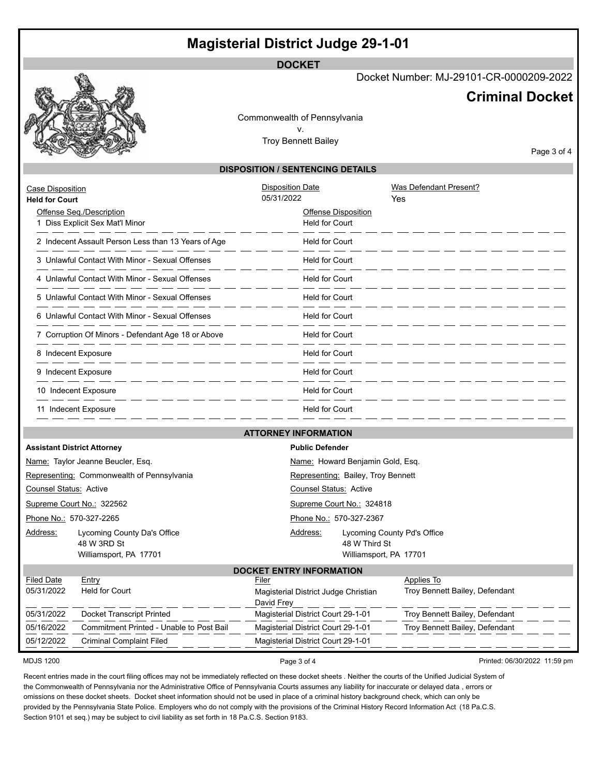## **Magisterial District Judge 29-1-01**

**DOCKET**

Docket Number: MJ-29101-CR-0000209-2022

## **Criminal Docket**

Commonwealth of Pennsylvania v. Troy Bennett Bailey

Page 3 of 4

## **DISPOSITION / SENTENCING DETAILS**

| <b>Case Disposition</b><br><b>Held for Court</b> | Offense Seq./Description<br>1 Diss Explicit Sex Mat'l Minor<br>2 Indecent Assault Person Less than 13 Years of Age<br>. __ __ __ __ __ __ __<br>3 Unlawful Contact With Minor - Sexual Offenses<br><u>. — — — — — — — — — — </u><br>4 Unlawful Contact With Minor - Sexual Offenses<br>والتنفير فتنفر فتنفر فتنفر فتنفر فتنفر فتنفر فتنفر فتنفر فتنفر فتنفر فتنفر فتنفر فتنفر المناورة<br>5 Unlawful Contact With Minor - Sexual Offenses<br>6 Unlawful Contact With Minor - Sexual Offenses | <b>Disposition Date</b><br>05/31/2022<br>Offense Disposition<br><b>Held for Court</b><br><b>Held for Court</b><br><b>Held for Court</b><br><b>Held for Court</b><br><b>Held for Court</b><br><b>Held for Court</b> | Was Defendant Present?<br>Yes                |  |  |  |  |  |
|--------------------------------------------------|----------------------------------------------------------------------------------------------------------------------------------------------------------------------------------------------------------------------------------------------------------------------------------------------------------------------------------------------------------------------------------------------------------------------------------------------------------------------------------------------|--------------------------------------------------------------------------------------------------------------------------------------------------------------------------------------------------------------------|----------------------------------------------|--|--|--|--|--|
|                                                  | . <u>.</u><br>7 Corruption Of Minors - Defendant Age 18 or Above                                                                                                                                                                                                                                                                                                                                                                                                                             | <b>Held for Court</b>                                                                                                                                                                                              |                                              |  |  |  |  |  |
|                                                  | . __ __ __ __ __ __ __ __<br>8 Indecent Exposure                                                                                                                                                                                                                                                                                                                                                                                                                                             | <b>Held for Court</b>                                                                                                                                                                                              |                                              |  |  |  |  |  |
|                                                  | 9 Indecent Exposure<br>_ __ __ __ __ __ __                                                                                                                                                                                                                                                                                                                                                                                                                                                   | <b>Held for Court</b>                                                                                                                                                                                              |                                              |  |  |  |  |  |
|                                                  | 10 Indecent Exposure<br><u> 2002 - 2002 - 2002 - 2002 - 2002 - 20</u>                                                                                                                                                                                                                                                                                                                                                                                                                        | <b>Held for Court</b>                                                                                                                                                                                              |                                              |  |  |  |  |  |
|                                                  | 11 Indecent Exposure                                                                                                                                                                                                                                                                                                                                                                                                                                                                         | <b>Held for Court</b>                                                                                                                                                                                              |                                              |  |  |  |  |  |
|                                                  |                                                                                                                                                                                                                                                                                                                                                                                                                                                                                              | <b>ATTORNEY INFORMATION</b>                                                                                                                                                                                        |                                              |  |  |  |  |  |
|                                                  | <b>Assistant District Attorney</b>                                                                                                                                                                                                                                                                                                                                                                                                                                                           | <b>Public Defender</b>                                                                                                                                                                                             |                                              |  |  |  |  |  |
|                                                  | Name: Taylor Jeanne Beucler, Esq.                                                                                                                                                                                                                                                                                                                                                                                                                                                            | Name: Howard Benjamin Gold, Esq.                                                                                                                                                                                   |                                              |  |  |  |  |  |
| Representing: Commonwealth of Pennsylvania       |                                                                                                                                                                                                                                                                                                                                                                                                                                                                                              | Representing: Bailey, Troy Bennett                                                                                                                                                                                 |                                              |  |  |  |  |  |
| <b>Counsel Status: Active</b>                    |                                                                                                                                                                                                                                                                                                                                                                                                                                                                                              | <b>Counsel Status: Active</b>                                                                                                                                                                                      |                                              |  |  |  |  |  |
| Supreme Court No.: 322562                        |                                                                                                                                                                                                                                                                                                                                                                                                                                                                                              | Supreme Court No.: 324818                                                                                                                                                                                          |                                              |  |  |  |  |  |
| Phone No.: 570-327-2265                          |                                                                                                                                                                                                                                                                                                                                                                                                                                                                                              | Phone No.: 570-327-2367                                                                                                                                                                                            |                                              |  |  |  |  |  |
| Address:                                         | Lycoming County Da's Office<br>48 W 3RD St<br>Williamsport, PA 17701                                                                                                                                                                                                                                                                                                                                                                                                                         | Address:<br>48 W Third St<br>Williamsport, PA 17701                                                                                                                                                                | Lycoming County Pd's Office                  |  |  |  |  |  |
|                                                  | <b>DOCKET ENTRY INFORMATION</b>                                                                                                                                                                                                                                                                                                                                                                                                                                                              |                                                                                                                                                                                                                    |                                              |  |  |  |  |  |
| <b>Filed Date</b><br>05/31/2022                  | Entry<br><b>Held for Court</b>                                                                                                                                                                                                                                                                                                                                                                                                                                                               | Filer<br>Magisterial District Judge Christian<br>David Frey                                                                                                                                                        | Applies To<br>Troy Bennett Bailey, Defendant |  |  |  |  |  |
| 05/31/2022                                       | Docket Transcript Printed                                                                                                                                                                                                                                                                                                                                                                                                                                                                    | Magisterial District Court 29-1-01                                                                                                                                                                                 | Troy Bennett Bailey, Defendant               |  |  |  |  |  |
| 05/16/2022                                       | Commitment Printed - Unable to Post Bail                                                                                                                                                                                                                                                                                                                                                                                                                                                     | Magisterial District Court 29-1-01                                                                                                                                                                                 | Troy Bennett Bailey, Defendant               |  |  |  |  |  |
| 05/12/2022                                       | <b>Criminal Complaint Filed</b>                                                                                                                                                                                                                                                                                                                                                                                                                                                              | Magisterial District Court 29-1-01                                                                                                                                                                                 |                                              |  |  |  |  |  |

MDJS 1200 **Page 3 of 4** Printed: 06/30/2022 11:59 pm